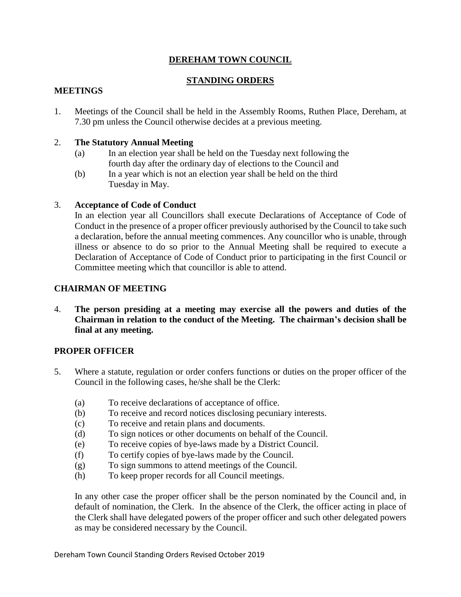## **DEREHAM TOWN COUNCIL**

# **STANDING ORDERS**

#### **MEETINGS**

1. Meetings of the Council shall be held in the Assembly Rooms, Ruthen Place, Dereham, at 7.30 pm unless the Council otherwise decides at a previous meeting.

#### 2. **The Statutory Annual Meeting**

- (a) In an election year shall be held on the Tuesday next following the fourth day after the ordinary day of elections to the Council and
- (b) In a year which is not an election year shall be held on the third Tuesday in May.

#### 3. **Acceptance of Code of Conduct**

In an election year all Councillors shall execute Declarations of Acceptance of Code of Conduct in the presence of a proper officer previously authorised by the Council to take such a declaration, before the annual meeting commences. Any councillor who is unable, through illness or absence to do so prior to the Annual Meeting shall be required to execute a Declaration of Acceptance of Code of Conduct prior to participating in the first Council or Committee meeting which that councillor is able to attend.

## **CHAIRMAN OF MEETING**

4. **The person presiding at a meeting may exercise all the powers and duties of the Chairman in relation to the conduct of the Meeting. The chairman's decision shall be final at any meeting.**

## **PROPER OFFICER**

- 5. Where a statute, regulation or order confers functions or duties on the proper officer of the Council in the following cases, he/she shall be the Clerk:
	- (a) To receive declarations of acceptance of office.
	- (b) To receive and record notices disclosing pecuniary interests.
	- (c) To receive and retain plans and documents.
	- (d) To sign notices or other documents on behalf of the Council.
	- (e) To receive copies of bye-laws made by a District Council.
	- (f) To certify copies of bye-laws made by the Council.
	- (g) To sign summons to attend meetings of the Council.
	- (h) To keep proper records for all Council meetings.

In any other case the proper officer shall be the person nominated by the Council and, in default of nomination, the Clerk. In the absence of the Clerk, the officer acting in place of the Clerk shall have delegated powers of the proper officer and such other delegated powers as may be considered necessary by the Council.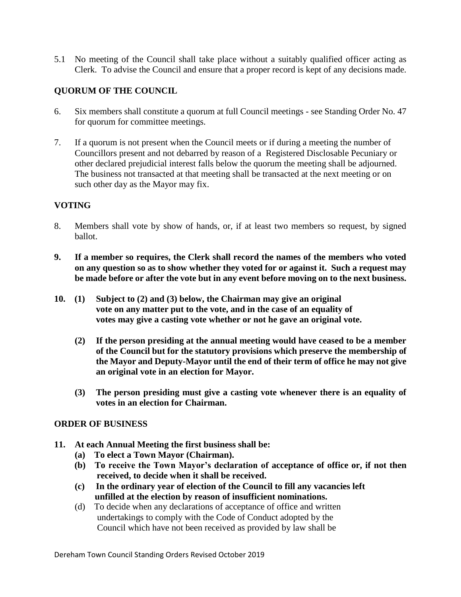5.1 No meeting of the Council shall take place without a suitably qualified officer acting as Clerk. To advise the Council and ensure that a proper record is kept of any decisions made.

# **QUORUM OF THE COUNCIL**

- 6. Six members shall constitute a quorum at full Council meetings see Standing Order No. 47 for quorum for committee meetings.
- 7. If a quorum is not present when the Council meets or if during a meeting the number of Councillors present and not debarred by reason of a Registered Disclosable Pecuniary or other declared prejudicial interest falls below the quorum the meeting shall be adjourned. The business not transacted at that meeting shall be transacted at the next meeting or on such other day as the Mayor may fix.

#### **VOTING**

- 8. Members shall vote by show of hands, or, if at least two members so request, by signed ballot.
- **9. If a member so requires, the Clerk shall record the names of the members who voted on any question so as to show whether they voted for or against it. Such a request may be made before or after the vote but in any event before moving on to the next business.**
- **10. (1) Subject to (2) and (3) below, the Chairman may give an original vote on any matter put to the vote, and in the case of an equality of votes may give a casting vote whether or not he gave an original vote.**
	- **(2) If the person presiding at the annual meeting would have ceased to be a member of the Council but for the statutory provisions which preserve the membership of the Mayor and Deputy-Mayor until the end of their term of office he may not give an original vote in an election for Mayor.**
	- **(3) The person presiding must give a casting vote whenever there is an equality of votes in an election for Chairman.**

#### **ORDER OF BUSINESS**

- **11. At each Annual Meeting the first business shall be:**
	- **(a) To elect a Town Mayor (Chairman).**
	- **(b) To receive the Town Mayor's declaration of acceptance of office or, if not then received, to decide when it shall be received.**
	- **(c) In the ordinary year of election of the Council to fill any vacancies left unfilled at the election by reason of insufficient nominations.**
	- (d) To decide when any declarations of acceptance of office and written undertakings to comply with the Code of Conduct adopted by the Council which have not been received as provided by law shall be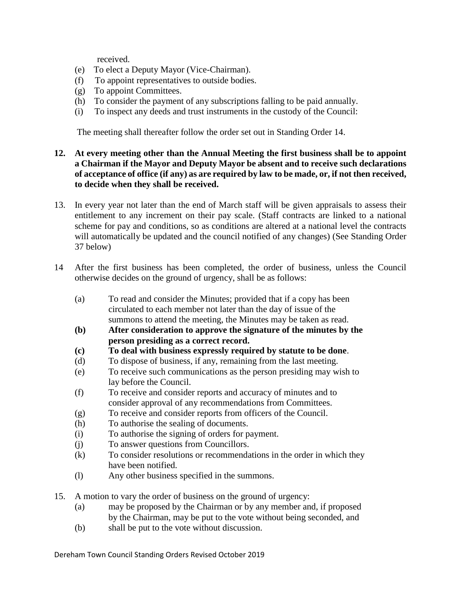received.

- (e) To elect a Deputy Mayor (Vice-Chairman).
- (f) To appoint representatives to outside bodies.
- (g) To appoint Committees.
- (h) To consider the payment of any subscriptions falling to be paid annually.
- (i) To inspect any deeds and trust instruments in the custody of the Council:

The meeting shall thereafter follow the order set out in Standing Order 14.

#### **12. At every meeting other than the Annual Meeting the first business shall be to appoint a Chairman if the Mayor and Deputy Mayor be absent and to receive such declarations of acceptance of office (if any) as are required by law to be made, or, if not then received, to decide when they shall be received.**

- 13. In every year not later than the end of March staff will be given appraisals to assess their entitlement to any increment on their pay scale. (Staff contracts are linked to a national scheme for pay and conditions, so as conditions are altered at a national level the contracts will automatically be updated and the council notified of any changes) (See Standing Order 37 below)
- 14 After the first business has been completed, the order of business, unless the Council otherwise decides on the ground of urgency, shall be as follows:
	- (a) To read and consider the Minutes; provided that if a copy has been circulated to each member not later than the day of issue of the summons to attend the meeting, the Minutes may be taken as read.
	- **(b) After consideration to approve the signature of the minutes by the person presiding as a correct record.**
	- **(c) To deal with business expressly required by statute to be done**.
	- (d) To dispose of business, if any, remaining from the last meeting.
	- (e) To receive such communications as the person presiding may wish to lay before the Council.
	- (f) To receive and consider reports and accuracy of minutes and to consider approval of any recommendations from Committees.
	- (g) To receive and consider reports from officers of the Council.
	- (h) To authorise the sealing of documents.
	- (i) To authorise the signing of orders for payment.
	- (j) To answer questions from Councillors.
	- (k) To consider resolutions or recommendations in the order in which they have been notified.
	- (l) Any other business specified in the summons.
- 15. A motion to vary the order of business on the ground of urgency:
	- (a) may be proposed by the Chairman or by any member and, if proposed by the Chairman, may be put to the vote without being seconded, and
	- (b) shall be put to the vote without discussion.

Dereham Town Council Standing Orders Revised October 2019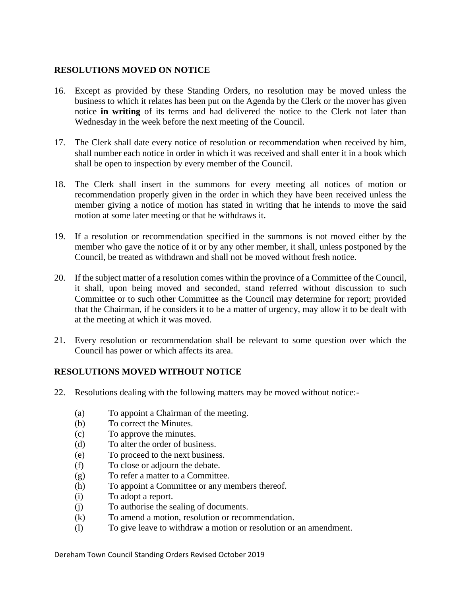## **RESOLUTIONS MOVED ON NOTICE**

- 16. Except as provided by these Standing Orders, no resolution may be moved unless the business to which it relates has been put on the Agenda by the Clerk or the mover has given notice **in writing** of its terms and had delivered the notice to the Clerk not later than Wednesday in the week before the next meeting of the Council.
- 17. The Clerk shall date every notice of resolution or recommendation when received by him, shall number each notice in order in which it was received and shall enter it in a book which shall be open to inspection by every member of the Council.
- 18. The Clerk shall insert in the summons for every meeting all notices of motion or recommendation properly given in the order in which they have been received unless the member giving a notice of motion has stated in writing that he intends to move the said motion at some later meeting or that he withdraws it.
- 19. If a resolution or recommendation specified in the summons is not moved either by the member who gave the notice of it or by any other member, it shall, unless postponed by the Council, be treated as withdrawn and shall not be moved without fresh notice.
- 20. If the subject matter of a resolution comes within the province of a Committee of the Council, it shall, upon being moved and seconded, stand referred without discussion to such Committee or to such other Committee as the Council may determine for report; provided that the Chairman, if he considers it to be a matter of urgency, may allow it to be dealt with at the meeting at which it was moved.
- 21. Every resolution or recommendation shall be relevant to some question over which the Council has power or which affects its area.

## **RESOLUTIONS MOVED WITHOUT NOTICE**

- 22. Resolutions dealing with the following matters may be moved without notice:-
	- (a) To appoint a Chairman of the meeting.
	- (b) To correct the Minutes.
	- (c) To approve the minutes.
	- (d) To alter the order of business.
	- (e) To proceed to the next business.
	- (f) To close or adjourn the debate.
	- (g) To refer a matter to a Committee.
	- (h) To appoint a Committee or any members thereof.
	- (i) To adopt a report.
	- (j) To authorise the sealing of documents.
	- (k) To amend a motion, resolution or recommendation.
	- (l) To give leave to withdraw a motion or resolution or an amendment.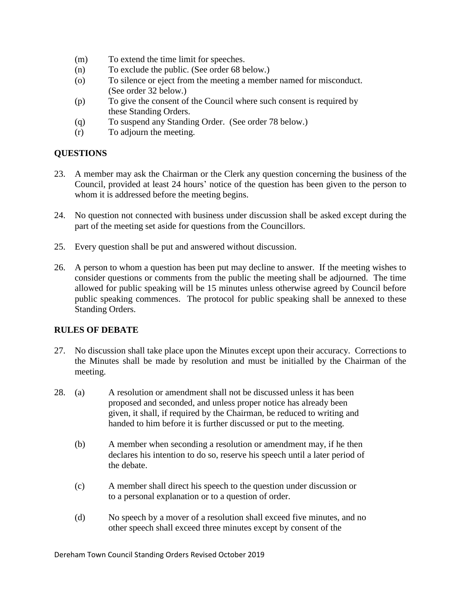- (m) To extend the time limit for speeches.
- (n) To exclude the public. (See order 68 below.)
- (o) To silence or eject from the meeting a member named for misconduct. (See order 32 below.)
- (p) To give the consent of the Council where such consent is required by these Standing Orders.
- (q) To suspend any Standing Order. (See order 78 below.)
- (r) To adjourn the meeting.

# **QUESTIONS**

- 23. A member may ask the Chairman or the Clerk any question concerning the business of the Council, provided at least 24 hours' notice of the question has been given to the person to whom it is addressed before the meeting begins.
- 24. No question not connected with business under discussion shall be asked except during the part of the meeting set aside for questions from the Councillors.
- 25. Every question shall be put and answered without discussion.
- 26. A person to whom a question has been put may decline to answer. If the meeting wishes to consider questions or comments from the public the meeting shall be adjourned. The time allowed for public speaking will be 15 minutes unless otherwise agreed by Council before public speaking commences. The protocol for public speaking shall be annexed to these Standing Orders.

## **RULES OF DEBATE**

- 27. No discussion shall take place upon the Minutes except upon their accuracy. Corrections to the Minutes shall be made by resolution and must be initialled by the Chairman of the meeting.
- 28. (a) A resolution or amendment shall not be discussed unless it has been proposed and seconded, and unless proper notice has already been given, it shall, if required by the Chairman, be reduced to writing and handed to him before it is further discussed or put to the meeting.
	- (b) A member when seconding a resolution or amendment may, if he then declares his intention to do so, reserve his speech until a later period of the debate.
	- (c) A member shall direct his speech to the question under discussion or to a personal explanation or to a question of order.
	- (d) No speech by a mover of a resolution shall exceed five minutes, and no other speech shall exceed three minutes except by consent of the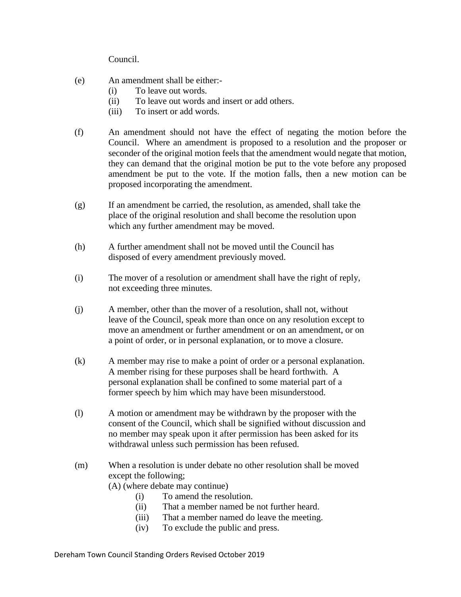Council.

- (e) An amendment shall be either:-
	- (i) To leave out words.
	- (ii) To leave out words and insert or add others.
	- (iii) To insert or add words.
- (f) An amendment should not have the effect of negating the motion before the Council. Where an amendment is proposed to a resolution and the proposer or seconder of the original motion feels that the amendment would negate that motion, they can demand that the original motion be put to the vote before any proposed amendment be put to the vote. If the motion falls, then a new motion can be proposed incorporating the amendment.
- (g) If an amendment be carried, the resolution, as amended, shall take the place of the original resolution and shall become the resolution upon which any further amendment may be moved.
- (h) A further amendment shall not be moved until the Council has disposed of every amendment previously moved.
- (i) The mover of a resolution or amendment shall have the right of reply, not exceeding three minutes.
- (j) A member, other than the mover of a resolution, shall not, without leave of the Council, speak more than once on any resolution except to move an amendment or further amendment or on an amendment, or on a point of order, or in personal explanation, or to move a closure.
- (k) A member may rise to make a point of order or a personal explanation. A member rising for these purposes shall be heard forthwith. A personal explanation shall be confined to some material part of a former speech by him which may have been misunderstood.
- (l) A motion or amendment may be withdrawn by the proposer with the consent of the Council, which shall be signified without discussion and no member may speak upon it after permission has been asked for its withdrawal unless such permission has been refused.
- (m) When a resolution is under debate no other resolution shall be moved except the following;

(A) (where debate may continue)

- (i) To amend the resolution.
- (ii) That a member named be not further heard.
- (iii) That a member named do leave the meeting.
- (iv) To exclude the public and press.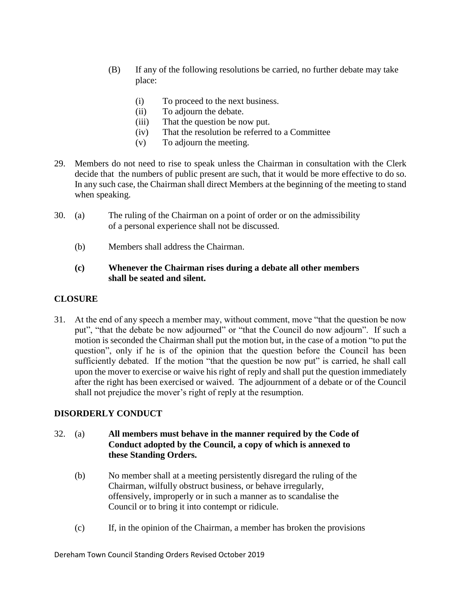- (B) If any of the following resolutions be carried, no further debate may take place:
	- (i) To proceed to the next business.
	- (ii) To adjourn the debate.
	- (iii) That the question be now put.
	- (iv) That the resolution be referred to a Committee
	- (v) To adjourn the meeting.
- 29. Members do not need to rise to speak unless the Chairman in consultation with the Clerk decide that the numbers of public present are such, that it would be more effective to do so. In any such case, the Chairman shall direct Members at the beginning of the meeting to stand when speaking.
- 30. (a) The ruling of the Chairman on a point of order or on the admissibility of a personal experience shall not be discussed.
	- (b) Members shall address the Chairman.

## **(c) Whenever the Chairman rises during a debate all other members shall be seated and silent.**

# **CLOSURE**

31. At the end of any speech a member may, without comment, move "that the question be now put", "that the debate be now adjourned" or "that the Council do now adjourn". If such a motion is seconded the Chairman shall put the motion but, in the case of a motion "to put the question", only if he is of the opinion that the question before the Council has been sufficiently debated. If the motion "that the question be now put" is carried, he shall call upon the mover to exercise or waive his right of reply and shall put the question immediately after the right has been exercised or waived. The adjournment of a debate or of the Council shall not prejudice the mover's right of reply at the resumption.

# **DISORDERLY CONDUCT**

- 32. (a) **All members must behave in the manner required by the Code of Conduct adopted by the Council, a copy of which is annexed to these Standing Orders.**
	- (b) No member shall at a meeting persistently disregard the ruling of the Chairman, wilfully obstruct business, or behave irregularly, offensively, improperly or in such a manner as to scandalise the Council or to bring it into contempt or ridicule.
	- (c) If, in the opinion of the Chairman, a member has broken the provisions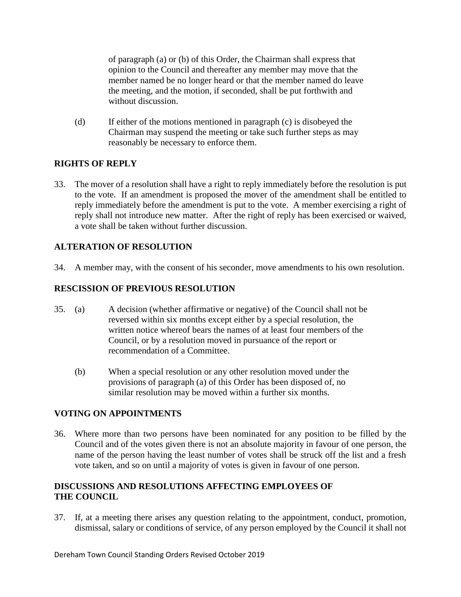of paragraph (a) or (b) of this Order, the Chairman shall express that opinion to the Council and thereafter any member may move that the member named be no longer heard or that the member named do leave the meeting, and the motion, if seconded, shall be put forthwith and without discussion.

(d) If either of the motions mentioned in paragraph (c) is disobeyed the Chairman may suspend the meeting or take such further steps as may reasonably be necessary to enforce them.

# **RIGHTS OF REPLY**

33. The mover of a resolution shall have a right to reply immediately before the resolution is put to the vote. If an amendment is proposed the mover of the amendment shall be entitled to reply immediately before the amendment is put to the vote. A member exercising a right of reply shall not introduce new matter. After the right of reply has been exercised or waived, a vote shall be taken without further discussion.

# **ALTERATION OF RESOLUTION**

34. A member may, with the consent of his seconder, move amendments to his own resolution.

## **RESCISSION OF PREVIOUS RESOLUTION**

- 35. (a) A decision (whether affirmative or negative) of the Council shall not be reversed within six months except either by a special resolution, the written notice whereof bears the names of at least four members of the Council, or by a resolution moved in pursuance of the report or recommendation of a Committee.
	- (b) When a special resolution or any other resolution moved under the provisions of paragraph (a) of this Order has been disposed of, no similar resolution may be moved within a further six months.

## **VOTING ON APPOINTMENTS**

36. Where more than two persons have been nominated for any position to be filled by the Council and of the votes given there is not an absolute majority in favour of one person, the name of the person having the least number of votes shall be struck off the list and a fresh vote taken, and so on until a majority of votes is given in favour of one person.

## **DISCUSSIONS AND RESOLUTIONS AFFECTING EMPLOYEES OF THE COUNCIL**

37. If, at a meeting there arises any question relating to the appointment, conduct, promotion, dismissal, salary or conditions of service, of any person employed by the Council it shall not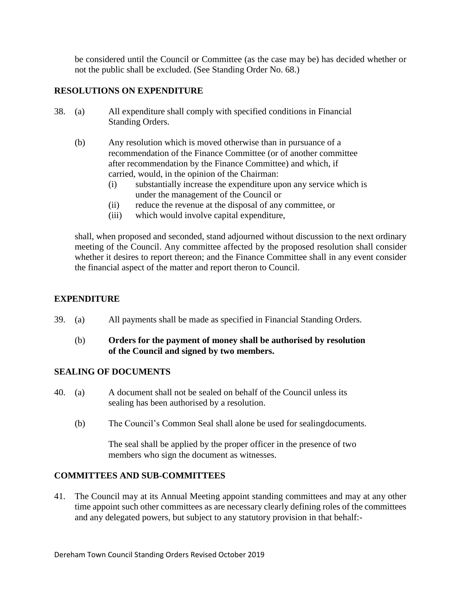be considered until the Council or Committee (as the case may be) has decided whether or not the public shall be excluded. (See Standing Order No. 68.)

#### **RESOLUTIONS ON EXPENDITURE**

- 38. (a) All expenditure shall comply with specified conditions in Financial Standing Orders.
	- (b) Any resolution which is moved otherwise than in pursuance of a recommendation of the Finance Committee (or of another committee after recommendation by the Finance Committee) and which, if carried, would, in the opinion of the Chairman:
		- (i) substantially increase the expenditure upon any service which is under the management of the Council or
		- (ii) reduce the revenue at the disposal of any committee, or
		- (iii) which would involve capital expenditure,

shall, when proposed and seconded, stand adjourned without discussion to the next ordinary meeting of the Council. Any committee affected by the proposed resolution shall consider whether it desires to report thereon; and the Finance Committee shall in any event consider the financial aspect of the matter and report theron to Council.

## **EXPENDITURE**

39. (a) All payments shall be made as specified in Financial Standing Orders.

## (b) **Orders for the payment of money shall be authorised by resolution of the Council and signed by two members.**

## **SEALING OF DOCUMENTS**

- 40. (a) A document shall not be sealed on behalf of the Council unless its sealing has been authorised by a resolution.
	- (b) The Council's Common Seal shall alone be used for sealingdocuments.

The seal shall be applied by the proper officer in the presence of two members who sign the document as witnesses.

#### **COMMITTEES AND SUB-COMMITTEES**

41. The Council may at its Annual Meeting appoint standing committees and may at any other time appoint such other committees as are necessary clearly defining roles of the committees and any delegated powers, but subject to any statutory provision in that behalf:-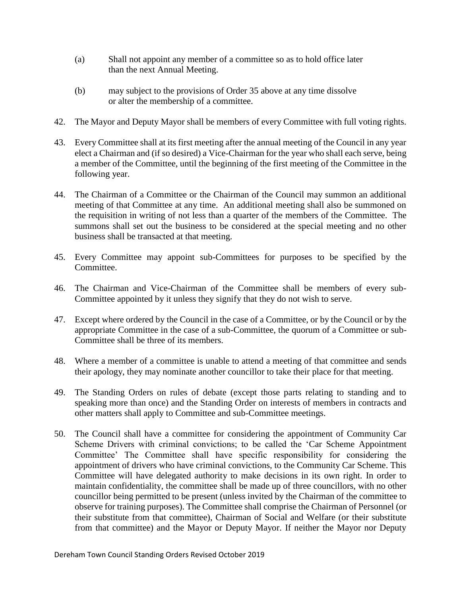- (a) Shall not appoint any member of a committee so as to hold office later than the next Annual Meeting.
- (b) may subject to the provisions of Order 35 above at any time dissolve or alter the membership of a committee.
- 42. The Mayor and Deputy Mayor shall be members of every Committee with full voting rights.
- 43. Every Committee shall at its first meeting after the annual meeting of the Council in any year elect a Chairman and (if so desired) a Vice-Chairman for the year who shall each serve, being a member of the Committee, until the beginning of the first meeting of the Committee in the following year.
- 44. The Chairman of a Committee or the Chairman of the Council may summon an additional meeting of that Committee at any time. An additional meeting shall also be summoned on the requisition in writing of not less than a quarter of the members of the Committee. The summons shall set out the business to be considered at the special meeting and no other business shall be transacted at that meeting.
- 45. Every Committee may appoint sub-Committees for purposes to be specified by the Committee.
- 46. The Chairman and Vice-Chairman of the Committee shall be members of every sub-Committee appointed by it unless they signify that they do not wish to serve.
- 47. Except where ordered by the Council in the case of a Committee, or by the Council or by the appropriate Committee in the case of a sub-Committee, the quorum of a Committee or sub-Committee shall be three of its members.
- 48. Where a member of a committee is unable to attend a meeting of that committee and sends their apology, they may nominate another councillor to take their place for that meeting.
- 49. The Standing Orders on rules of debate (except those parts relating to standing and to speaking more than once) and the Standing Order on interests of members in contracts and other matters shall apply to Committee and sub-Committee meetings.
- 50. The Council shall have a committee for considering the appointment of Community Car Scheme Drivers with criminal convictions; to be called the 'Car Scheme Appointment Committee' The Committee shall have specific responsibility for considering the appointment of drivers who have criminal convictions, to the Community Car Scheme. This Committee will have delegated authority to make decisions in its own right. In order to maintain confidentiality, the committee shall be made up of three councillors, with no other councillor being permitted to be present (unless invited by the Chairman of the committee to observe for training purposes). The Committee shall comprise the Chairman of Personnel (or their substitute from that committee), Chairman of Social and Welfare (or their substitute from that committee) and the Mayor or Deputy Mayor. If neither the Mayor nor Deputy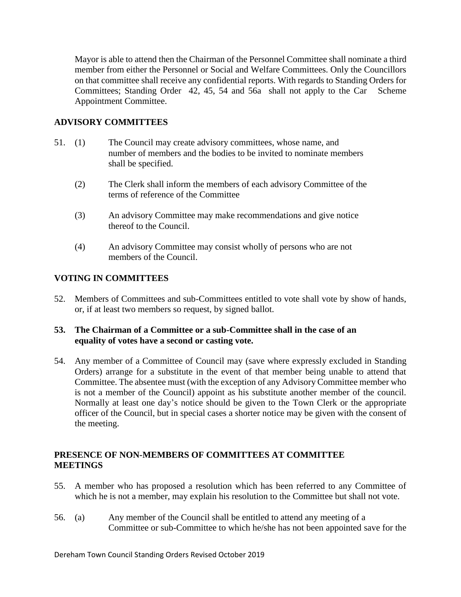Mayor is able to attend then the Chairman of the Personnel Committee shall nominate a third member from either the Personnel or Social and Welfare Committees. Only the Councillors on that committee shall receive any confidential reports. With regards to Standing Orders for Committees; Standing Order 42, 45, 54 and 56a shall not apply to the Car Scheme Appointment Committee.

## **ADVISORY COMMITTEES**

- 51. (1) The Council may create advisory committees, whose name, and number of members and the bodies to be invited to nominate members shall be specified.
	- (2) The Clerk shall inform the members of each advisory Committee of the terms of reference of the Committee
	- (3) An advisory Committee may make recommendations and give notice thereof to the Council.
	- (4) An advisory Committee may consist wholly of persons who are not members of the Council.

# **VOTING IN COMMITTEES**

52. Members of Committees and sub-Committees entitled to vote shall vote by show of hands, or, if at least two members so request, by signed ballot.

## **53. The Chairman of a Committee or a sub-Committee shall in the case of an equality of votes have a second or casting vote.**

54. Any member of a Committee of Council may (save where expressly excluded in Standing Orders) arrange for a substitute in the event of that member being unable to attend that Committee. The absentee must (with the exception of any Advisory Committee member who is not a member of the Council) appoint as his substitute another member of the council. Normally at least one day's notice should be given to the Town Clerk or the appropriate officer of the Council, but in special cases a shorter notice may be given with the consent of the meeting.

## **PRESENCE OF NON-MEMBERS OF COMMITTEES AT COMMITTEE MEETINGS**

- 55. A member who has proposed a resolution which has been referred to any Committee of which he is not a member, may explain his resolution to the Committee but shall not vote.
- 56. (a) Any member of the Council shall be entitled to attend any meeting of a Committee or sub-Committee to which he/she has not been appointed save for the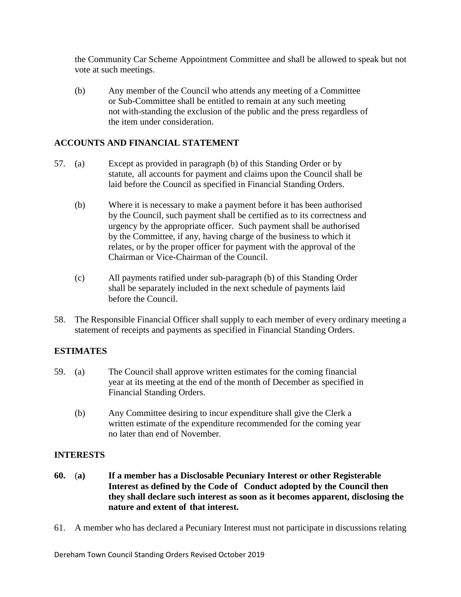the Community Car Scheme Appointment Committee and shall be allowed to speak but not vote at such meetings.

(b) Any member of the Council who attends any meeting of a Committee or Sub-Committee shall be entitled to remain at any such meeting not with-standing the exclusion of the public and the press regardless of the item under consideration.

## **ACCOUNTS AND FINANCIAL STATEMENT**

- 57. (a) Except as provided in paragraph (b) of this Standing Order or by statute, all accounts for payment and claims upon the Council shall be laid before the Council as specified in Financial Standing Orders.
	- (b) Where it is necessary to make a payment before it has been authorised by the Council, such payment shall be certified as to its correctness and urgency by the appropriate officer. Such payment shall be authorised by the Committee, if any, having charge of the business to which it relates, or by the proper officer for payment with the approval of the Chairman or Vice-Chairman of the Council.
	- (c) All payments ratified under sub-paragraph (b) of this Standing Order shall be separately included in the next schedule of payments laid before the Council.
- 58. The Responsible Financial Officer shall supply to each member of every ordinary meeting a statement of receipts and payments as specified in Financial Standing Orders.

## **ESTIMATES**

- 59. (a) The Council shall approve written estimates for the coming financial year at its meeting at the end of the month of December as specified in Financial Standing Orders.
	- (b) Any Committee desiring to incur expenditure shall give the Clerk a written estimate of the expenditure recommended for the coming year no later than end of November.

## **INTERESTS**

- **60.** (**a) If a member has a Disclosable Pecuniary Interest or other Registerable Interest as defined by the Code of Conduct adopted by the Council then they shall declare such interest as soon as it becomes apparent, disclosing the nature and extent of that interest.**
- 61. A member who has declared a Pecuniary Interest must not participate in discussions relating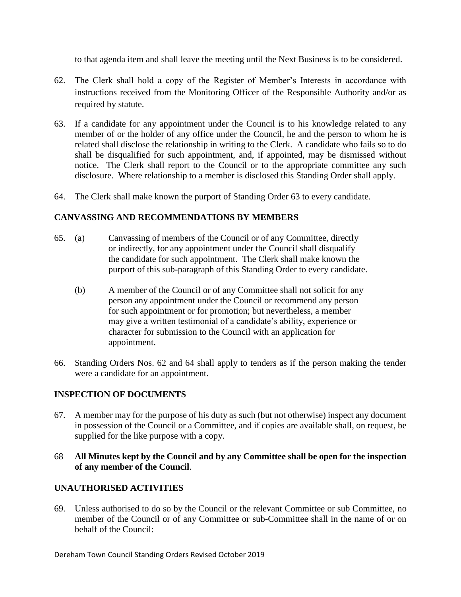to that agenda item and shall leave the meeting until the Next Business is to be considered.

- 62. The Clerk shall hold a copy of the Register of Member's Interests in accordance with instructions received from the Monitoring Officer of the Responsible Authority and/or as required by statute.
- 63. If a candidate for any appointment under the Council is to his knowledge related to any member of or the holder of any office under the Council, he and the person to whom he is related shall disclose the relationship in writing to the Clerk. A candidate who fails so to do shall be disqualified for such appointment, and, if appointed, may be dismissed without notice. The Clerk shall report to the Council or to the appropriate committee any such disclosure. Where relationship to a member is disclosed this Standing Order shall apply.
- 64. The Clerk shall make known the purport of Standing Order 63 to every candidate.

## **CANVASSING AND RECOMMENDATIONS BY MEMBERS**

- 65. (a) Canvassing of members of the Council or of any Committee, directly or indirectly, for any appointment under the Council shall disqualify the candidate for such appointment. The Clerk shall make known the purport of this sub-paragraph of this Standing Order to every candidate.
	- (b) A member of the Council or of any Committee shall not solicit for any person any appointment under the Council or recommend any person for such appointment or for promotion; but nevertheless, a member may give a written testimonial of a candidate's ability, experience or character for submission to the Council with an application for appointment.
- 66. Standing Orders Nos. 62 and 64 shall apply to tenders as if the person making the tender were a candidate for an appointment.

## **INSPECTION OF DOCUMENTS**

67. A member may for the purpose of his duty as such (but not otherwise) inspect any document in possession of the Council or a Committee, and if copies are available shall, on request, be supplied for the like purpose with a copy.

#### 68 **All Minutes kept by the Council and by any Committee shall be open for the inspection of any member of the Council**.

## **UNAUTHORISED ACTIVITIES**

69. Unless authorised to do so by the Council or the relevant Committee or sub Committee, no member of the Council or of any Committee or sub-Committee shall in the name of or on behalf of the Council: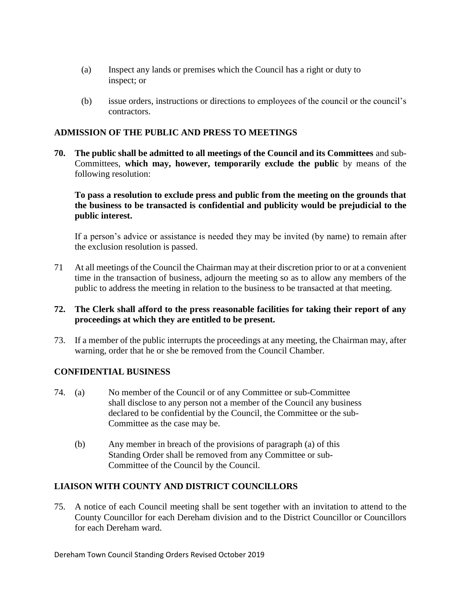- (a) Inspect any lands or premises which the Council has a right or duty to inspect; or
- (b) issue orders, instructions or directions to employees of the council or the council's contractors.

#### **ADMISSION OF THE PUBLIC AND PRESS TO MEETINGS**

**70. The public shall be admitted to all meetings of the Council and its Committees** and sub-Committees, **which may, however, temporarily exclude the public** by means of the following resolution:

**To pass a resolution to exclude press and public from the meeting on the grounds that the business to be transacted is confidential and publicity would be prejudicial to the public interest.**

If a person's advice or assistance is needed they may be invited (by name) to remain after the exclusion resolution is passed.

- 71 At all meetings of the Council the Chairman may at their discretion prior to or at a convenient time in the transaction of business, adjourn the meeting so as to allow any members of the public to address the meeting in relation to the business to be transacted at that meeting.
- **72. The Clerk shall afford to the press reasonable facilities for taking their report of any proceedings at which they are entitled to be present.**
- 73. If a member of the public interrupts the proceedings at any meeting, the Chairman may, after warning, order that he or she be removed from the Council Chamber.

## **CONFIDENTIAL BUSINESS**

- 74. (a) No member of the Council or of any Committee or sub-Committee shall disclose to any person not a member of the Council any business declared to be confidential by the Council, the Committee or the sub-Committee as the case may be.
	- (b) Any member in breach of the provisions of paragraph (a) of this Standing Order shall be removed from any Committee or sub-Committee of the Council by the Council.

#### **LIAISON WITH COUNTY AND DISTRICT COUNClLLORS**

75. A notice of each Council meeting shall be sent together with an invitation to attend to the County Councillor for each Dereham division and to the District Councillor or Councillors for each Dereham ward.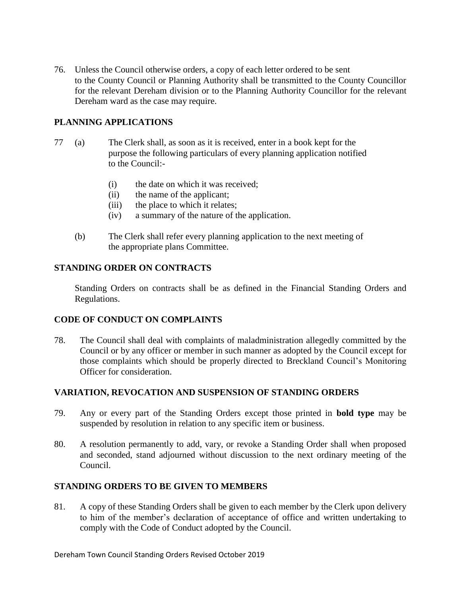76. Unless the Council otherwise orders, a copy of each letter ordered to be sent to the County Council or Planning Authority shall be transmitted to the County Councillor for the relevant Dereham division or to the Planning Authority Councillor for the relevant Dereham ward as the case may require.

## **PLANNING APPLICATIONS**

- 77 (a) The Clerk shall, as soon as it is received, enter in a book kept for the purpose the following particulars of every planning application notified to the Council:-
	- (i) the date on which it was received;
	- (ii) the name of the applicant;
	- (iii) the place to which it relates;
	- (iv) a summary of the nature of the application.
	- (b) The Clerk shall refer every planning application to the next meeting of the appropriate plans Committee.

## **STANDING ORDER ON CONTRACTS**

Standing Orders on contracts shall be as defined in the Financial Standing Orders and Regulations.

## **CODE OF CONDUCT ON COMPLAINTS**

78. The Council shall deal with complaints of maladministration allegedly committed by the Council or by any officer or member in such manner as adopted by the Council except for those complaints which should be properly directed to Breckland Council's Monitoring Officer for consideration.

## **VARIATION, REVOCATION AND SUSPENSION OF STANDING ORDERS**

- 79. Any or every part of the Standing Orders except those printed in **bold type** may be suspended by resolution in relation to any specific item or business.
- 80. A resolution permanently to add, vary, or revoke a Standing Order shall when proposed and seconded, stand adjourned without discussion to the next ordinary meeting of the Council.

## **STANDING ORDERS TO BE GIVEN TO MEMBERS**

81. A copy of these Standing Orders shall be given to each member by the Clerk upon delivery to him of the member's declaration of acceptance of office and written undertaking to comply with the Code of Conduct adopted by the Council.